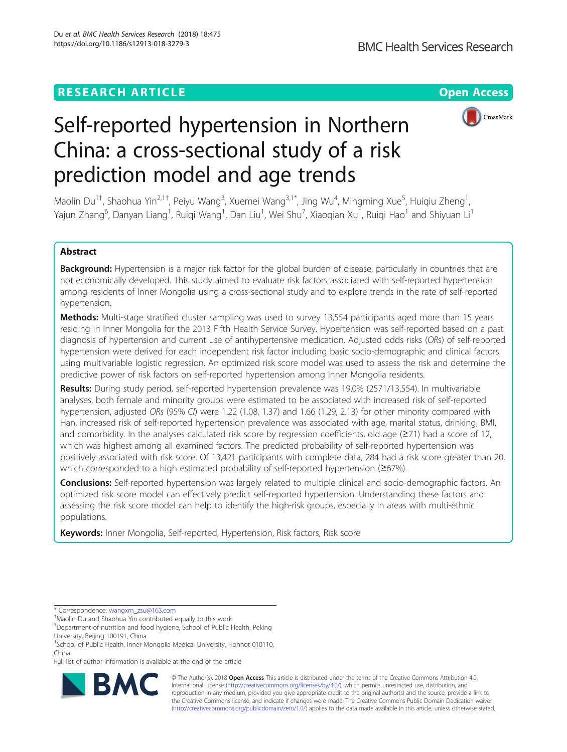## **RESEARCH ARTICLE Example 2018 12:30 THE Open Access**



# Self-reported hypertension in Northern China: a cross-sectional study of a risk prediction model and age trends

Maolin Du<sup>1†</sup>, Shaohua Yin<sup>2,1†</sup>, Peiyu Wang<sup>3</sup>, Xuemei Wang<sup>3,1\*</sup>, Jing Wu<sup>4</sup>, Mingming Xue<sup>5</sup>, Huiqiu Zheng<sup>1</sup> , Yajun Zhang<sup>6</sup>, Danyan Liang<sup>1</sup>, Ruiqi Wang<sup>1</sup>, Dan Liu<sup>1</sup>, Wei Shu<sup>7</sup>, Xiaoqian Xu<sup>1</sup>, Ruiqi Hao<sup>1</sup> and Shiyuan Li<sup>1</sup>

## Abstract

Background: Hypertension is a major risk factor for the global burden of disease, particularly in countries that are not economically developed. This study aimed to evaluate risk factors associated with self-reported hypertension among residents of Inner Mongolia using a cross-sectional study and to explore trends in the rate of self-reported hypertension.

**Methods:** Multi-stage stratified cluster sampling was used to survey 13,554 participants aged more than 15 years residing in Inner Mongolia for the 2013 Fifth Health Service Survey. Hypertension was self-reported based on a past diagnosis of hypertension and current use of antihypertensive medication. Adjusted odds risks (ORs) of self-reported hypertension were derived for each independent risk factor including basic socio-demographic and clinical factors using multivariable logistic regression. An optimized risk score model was used to assess the risk and determine the predictive power of risk factors on self-reported hypertension among Inner Mongolia residents.

Results: During study period, self-reported hypertension prevalence was 19.0% (2571/13,554). In multivariable analyses, both female and minority groups were estimated to be associated with increased risk of self-reported hypertension, adjusted ORs (95% CI) were 1.22 (1.08, 1.37) and 1.66 (1.29, 2.13) for other minority compared with Han, increased risk of self-reported hypertension prevalence was associated with age, marital status, drinking, BMI, and comorbidity. In the analyses calculated risk score by regression coefficients, old age (≥71) had a score of 12, which was highest among all examined factors. The predicted probability of self-reported hypertension was positively associated with risk score. Of 13,421 participants with complete data, 284 had a risk score greater than 20, which corresponded to a high estimated probability of self-reported hypertension (≥67%).

Conclusions: Self-reported hypertension was largely related to multiple clinical and socio-demographic factors. An optimized risk score model can effectively predict self-reported hypertension. Understanding these factors and assessing the risk score model can help to identify the high-risk groups, especially in areas with multi-ethnic populations.

Keywords: Inner Mongolia, Self-reported, Hypertension, Risk factors, Risk score

\* Correspondence: [wangxm\\_zsu@163.com](mailto:wangxm_zsu@163.com) †

Maolin Du and Shaohua Yin contributed equally to this work.

Full list of author information is available at the end of the article



© The Author(s). 2018 Open Access This article is distributed under the terms of the Creative Commons Attribution 4.0 International License [\(http://creativecommons.org/licenses/by/4.0/](http://creativecommons.org/licenses/by/4.0/)), which permits unrestricted use, distribution, and reproduction in any medium, provided you give appropriate credit to the original author(s) and the source, provide a link to the Creative Commons license, and indicate if changes were made. The Creative Commons Public Domain Dedication waiver [\(http://creativecommons.org/publicdomain/zero/1.0/](http://creativecommons.org/publicdomain/zero/1.0/)) applies to the data made available in this article, unless otherwise stated.

<sup>&</sup>lt;sup>3</sup>Department of nutrition and food hygiene, School of Public Health, Peking University, Beijing 100191, China

<sup>&</sup>lt;sup>1</sup>School of Public Health, Inner Mongolia Medical University, Hohhot 010110, China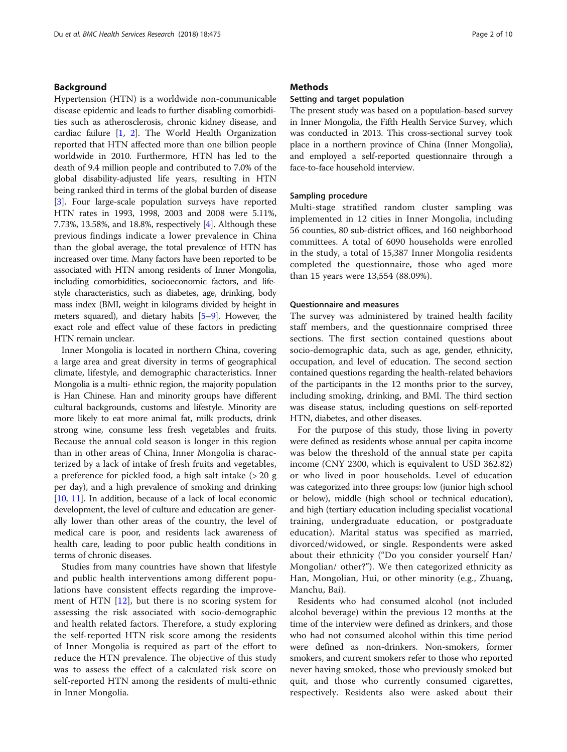## Background

Hypertension (HTN) is a worldwide non-communicable disease epidemic and leads to further disabling comorbidities such as atherosclerosis, chronic kidney disease, and cardiac failure [\[1](#page-9-0), [2\]](#page-9-0). The World Health Organization reported that HTN affected more than one billion people worldwide in 2010. Furthermore, HTN has led to the death of 9.4 million people and contributed to 7.0% of the global disability-adjusted life years, resulting in HTN being ranked third in terms of the global burden of disease [[3\]](#page-9-0). Four large-scale population surveys have reported HTN rates in 1993, 1998, 2003 and 2008 were 5.11%, 7.73%, 13.58%, and 18.8%, respectively [\[4](#page-9-0)]. Although these previous findings indicate a lower prevalence in China than the global average, the total prevalence of HTN has increased over time. Many factors have been reported to be associated with HTN among residents of Inner Mongolia, including comorbidities, socioeconomic factors, and lifestyle characteristics, such as diabetes, age, drinking, body mass index (BMI, weight in kilograms divided by height in meters squared), and dietary habits [\[5](#page-9-0)–[9](#page-9-0)]. However, the exact role and effect value of these factors in predicting HTN remain unclear.

Inner Mongolia is located in northern China, covering a large area and great diversity in terms of geographical climate, lifestyle, and demographic characteristics. Inner Mongolia is a multi- ethnic region, the majority population is Han Chinese. Han and minority groups have different cultural backgrounds, customs and lifestyle. Minority are more likely to eat more animal fat, milk products, drink strong wine, consume less fresh vegetables and fruits. Because the annual cold season is longer in this region than in other areas of China, Inner Mongolia is characterized by a lack of intake of fresh fruits and vegetables, a preference for pickled food, a high salt intake (> 20 g per day), and a high prevalence of smoking and drinking [[10](#page-9-0), [11\]](#page-9-0). In addition, because of a lack of local economic development, the level of culture and education are generally lower than other areas of the country, the level of medical care is poor, and residents lack awareness of health care, leading to poor public health conditions in terms of chronic diseases.

Studies from many countries have shown that lifestyle and public health interventions among different populations have consistent effects regarding the improvement of HTN [[12\]](#page-9-0), but there is no scoring system for assessing the risk associated with socio-demographic and health related factors. Therefore, a study exploring the self-reported HTN risk score among the residents of Inner Mongolia is required as part of the effort to reduce the HTN prevalence. The objective of this study was to assess the effect of a calculated risk score on self-reported HTN among the residents of multi-ethnic in Inner Mongolia.

## **Methods**

#### Setting and target population

The present study was based on a population-based survey in Inner Mongolia, the Fifth Health Service Survey, which was conducted in 2013. This cross-sectional survey took place in a northern province of China (Inner Mongolia), and employed a self-reported questionnaire through a face-to-face household interview.

## Sampling procedure

Multi-stage stratified random cluster sampling was implemented in 12 cities in Inner Mongolia, including 56 counties, 80 sub-district offices, and 160 neighborhood committees. A total of 6090 households were enrolled in the study, a total of 15,387 Inner Mongolia residents completed the questionnaire, those who aged more than 15 years were 13,554 (88.09%).

#### Questionnaire and measures

The survey was administered by trained health facility staff members, and the questionnaire comprised three sections. The first section contained questions about socio-demographic data, such as age, gender, ethnicity, occupation, and level of education. The second section contained questions regarding the health-related behaviors of the participants in the 12 months prior to the survey, including smoking, drinking, and BMI. The third section was disease status, including questions on self-reported HTN, diabetes, and other diseases.

For the purpose of this study, those living in poverty were defined as residents whose annual per capita income was below the threshold of the annual state per capita income (CNY 2300, which is equivalent to USD 362.82) or who lived in poor households. Level of education was categorized into three groups: low (junior high school or below), middle (high school or technical education), and high (tertiary education including specialist vocational training, undergraduate education, or postgraduate education). Marital status was specified as married, divorced/widowed, or single. Respondents were asked about their ethnicity ("Do you consider yourself Han/ Mongolian/ other?"). We then categorized ethnicity as Han, Mongolian, Hui, or other minority (e.g., Zhuang, Manchu, Bai).

Residents who had consumed alcohol (not included alcohol beverage) within the previous 12 months at the time of the interview were defined as drinkers, and those who had not consumed alcohol within this time period were defined as non-drinkers. Non-smokers, former smokers, and current smokers refer to those who reported never having smoked, those who previously smoked but quit, and those who currently consumed cigarettes, respectively. Residents also were asked about their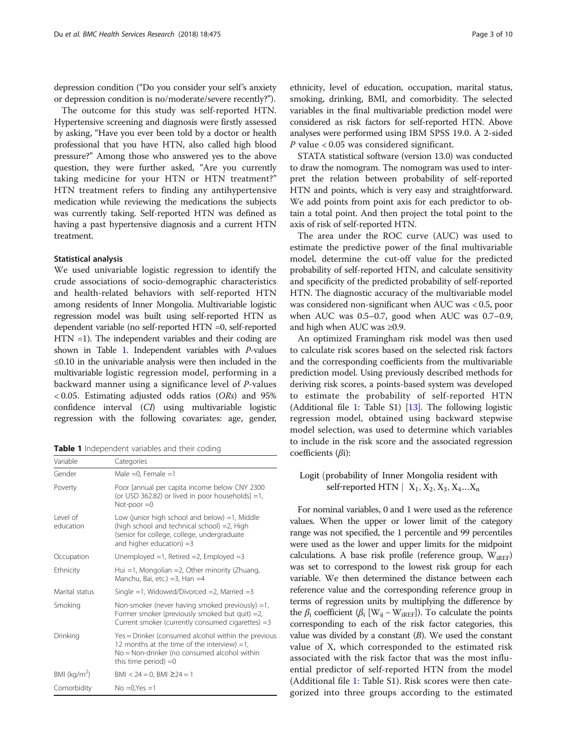depression condition ("Do you consider your self's anxiety or depression condition is no/moderate/severe recently?").

The outcome for this study was self-reported HTN. Hypertensive screening and diagnosis were firstly assessed by asking, "Have you ever been told by a doctor or health professional that you have HTN, also called high blood pressure?" Among those who answered yes to the above question, they were further asked, "Are you currently taking medicine for your HTN or HTN treatment?" HTN treatment refers to finding any antihypertensive medication while reviewing the medications the subjects was currently taking. Self-reported HTN was defined as having a past hypertensive diagnosis and a current HTN treatment.

## Statistical analysis

We used univariable logistic regression to identify the crude associations of socio-demographic characteristics and health-related behaviors with self-reported HTN among residents of Inner Mongolia. Multivariable logistic regression model was built using self-reported HTN as dependent variable (no self-reported HTN =0, self-reported HTN =1). The independent variables and their coding are shown in Table 1. Independent variables with P-values ≤0.10 in the univariable analysis were then included in the multivariable logistic regression model, performing in a backward manner using a significance level of P-values < 0.05. Estimating adjusted odds ratios (ORs) and 95% confidence interval (CI) using multivariable logistic regression with the following covariates: age, gender,

Table 1 Independent variables and their coding

| Variable              | Categories                                                                                                                                                                   |  |
|-----------------------|------------------------------------------------------------------------------------------------------------------------------------------------------------------------------|--|
| Gender                | Male = $0$ , Female = $1$                                                                                                                                                    |  |
| Poverty               | Poor [annual per capita income below CNY 2300<br>(or USD 362.82) or lived in poor households] $=1$ ,<br>Not-poor $=0$                                                        |  |
| Level of<br>education | Low (junior high school and below) =1, Middle<br>(high school and technical school) =2, High<br>(senior for college, college, undergraduate<br>and higher education) $=3$    |  |
| Occupation            | Unemployed =1, Retired =2, Employed =3                                                                                                                                       |  |
| Ethnicity             | Hui $=1$ , Mongolian $=2$ , Other minority (Zhuang,<br>Manchu, Bai, etc.) $=3$ , Han $=4$                                                                                    |  |
| Marital status        | Single =1, Widowed/Divorced =2, Married =3                                                                                                                                   |  |
| Smoking               | Non-smoker (never having smoked previously) =1,<br>Former smoker (previously smoked but quit) $=2$ ,<br>Current smoker (currently consumed cigarettes) =3                    |  |
| Drinking              | Yes = Drinker (consumed alcohol within the previous<br>12 months at the time of the interview) =1,<br>No = Non-drinker (no consumed alcohol within<br>this time period) $=0$ |  |
| BMI ( $kg/m2$ )       | BMI < $24 = 0$ , BMI ≥24 = 1                                                                                                                                                 |  |
| Comorbidity           | $No = 0.$ Yes = 1                                                                                                                                                            |  |

ethnicity, level of education, occupation, marital status, smoking, drinking, BMI, and comorbidity. The selected variables in the final multivariable prediction model were considered as risk factors for self-reported HTN. Above analyses were performed using IBM SPSS 19.0. A 2-sided P value < 0.05 was considered significant.

STATA statistical software (version 13.0) was conducted to draw the nomogram. The nomogram was used to interpret the relation between probability of self-reported HTN and points, which is very easy and straightforward. We add points from point axis for each predictor to obtain a total point. And then project the total point to the axis of risk of self-reported HTN.

The area under the ROC curve (AUC) was used to estimate the predictive power of the final multivariable model, determine the cut-off value for the predicted probability of self-reported HTN, and calculate sensitivity and specificity of the predicted probability of self-reported HTN. The diagnostic accuracy of the multivariable model was considered non-significant when AUC was < 0.5, poor when AUC was 0.5–0.7, good when AUC was 0.7–0.9, and high when AUC was ≥0.9.

An optimized Framingham risk model was then used to calculate risk scores based on the selected risk factors and the corresponding coefficients from the multivariable prediction model. Using previously described methods for deriving risk scores, a points-based system was developed to estimate the probability of self-reported HTN (Additional file [1:](#page-8-0) Table S1) [\[13\]](#page-9-0). The following logistic regression model, obtained using backward stepwise model selection, was used to determine which variables to include in the risk score and the associated regression coefficients (βi):

## Logit (probability of Inner Mongolia resident with self-reported HTN  $| X_1, X_2, X_3, X_4...X_n$

For nominal variables, 0 and 1 were used as the reference values. When the upper or lower limit of the category range was not specified, the 1 percentile and 99 percentiles were used as the lower and upper limits for the midpoint calculations. A base risk profile (reference group,  $W_{iREF}$ ) was set to correspond to the lowest risk group for each variable. We then determined the distance between each reference value and the corresponding reference group in terms of regression units by multiplying the difference by the  $\beta_i$  coefficient ( $\beta_i$  [W<sub>ij</sub> – W<sub>iREF</sub>]). To calculate the points corresponding to each of the risk factor categories, this value was divided by a constant  $(B)$ . We used the constant value of X, which corresponded to the estimated risk associated with the risk factor that was the most influential predictor of self-reported HTN from the model (Additional file [1:](#page-8-0) Table S1). Risk scores were then categorized into three groups according to the estimated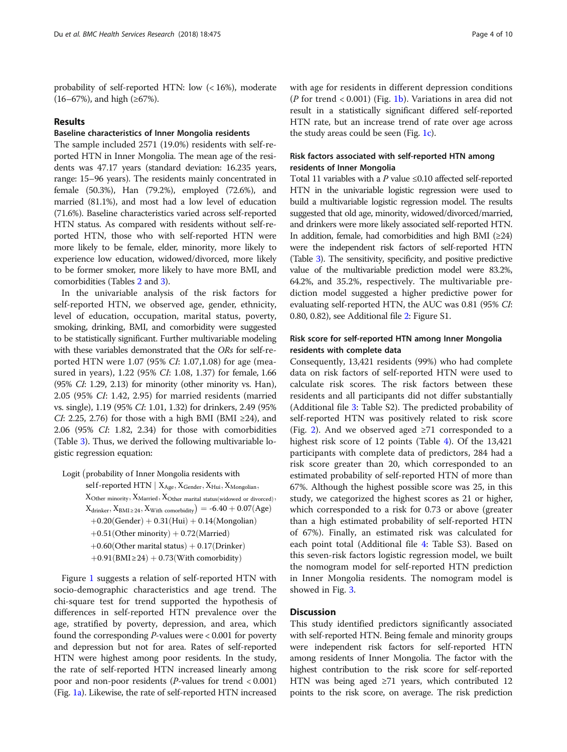probability of self-reported HTN: low (< 16%), moderate (16–67%), and high (≥67%).

#### Results

## Baseline characteristics of Inner Mongolia residents

The sample included 2571 (19.0%) residents with self-reported HTN in Inner Mongolia. The mean age of the residents was 47.17 years (standard deviation: 16.235 years, range: 15–96 years). The residents mainly concentrated in female (50.3%), Han (79.2%), employed (72.6%), and married (81.1%), and most had a low level of education (71.6%). Baseline characteristics varied across self-reported HTN status. As compared with residents without self-reported HTN, those who with self-reported HTN were more likely to be female, elder, minority, more likely to experience low education, widowed/divorced, more likely to be former smoker, more likely to have more BMI, and comorbidities (Tables [2](#page-4-0) and [3\)](#page-5-0).

In the univariable analysis of the risk factors for self-reported HTN, we observed age, gender, ethnicity, level of education, occupation, marital status, poverty, smoking, drinking, BMI, and comorbidity were suggested to be statistically significant. Further multivariable modeling with these variables demonstrated that the ORs for self-reported HTN were 1.07 (95% CI: 1.07,1.08) for age (measured in years), 1.22 (95% CI: 1.08, 1.37) for female, 1.66 (95% CI: 1.29, 2.13) for minority (other minority vs. Han), 2.05 (95% CI: 1.42, 2.95) for married residents (married vs. single), 1.19 (95% CI: 1.01, 1.32) for drinkers, 2.49 (95% CI: 2.25, 2.76) for those with a high BMI (BMI  $\geq$ 24), and 2.06 (95% CI: 1.82, 2.34) for those with comorbidities (Table [3](#page-5-0)). Thus, we derived the following multivariable logistic regression equation:

Logit probability of Inner Mongolia residents with

self-reported HTN |  $X_{Age}$ ,  $X_{Gender}$ ,  $X_{Hui}$ ,  $X_{Mongolian}$ ,  $X_{Other\,minority}, X_{Married}, X_{Other\,marital\, status (widowed\, or\,divoced)},$  $\rm X_{drinker}, X_{BMI \,\geq 24}, X_{With~comorbidity}) =$  -6.40  $+$  0.07(Age)  $+0.20$ (Gender)  $+0.31$ (Hui)  $+0.14$ (Mongolian) +0.51(Other minority) + 0.72(Married)  $+0.60$ (Other marital status)  $+0.17$ (Drinker)  $+0.91(BMI \geq 24) + 0.73(With comorbidity)$ 

Figure [1](#page-5-0) suggests a relation of self-reported HTN with socio-demographic characteristics and age trend. The chi-square test for trend supported the hypothesis of differences in self-reported HTN prevalence over the age, stratified by poverty, depression, and area, which found the corresponding P-values were < 0.001 for poverty and depression but not for area. Rates of self-reported HTN were highest among poor residents. In the study, the rate of self-reported HTN increased linearly among poor and non-poor residents (P-values for trend < 0.001) (Fig. [1a\)](#page-5-0). Likewise, the rate of self-reported HTN increased with age for residents in different depression conditions (*P* for trend < 0.001) (Fig. [1b\)](#page-5-0). Variations in area did not result in a statistically significant differed self-reported HTN rate, but an increase trend of rate over age across the study areas could be seen (Fig.  $1c$ ).

## Risk factors associated with self-reported HTN among residents of Inner Mongolia

Total 11 variables with a  $P$  value  $\leq 0.10$  affected self-reported HTN in the univariable logistic regression were used to build a multivariable logistic regression model. The results suggested that old age, minority, widowed/divorced/married, and drinkers were more likely associated self-reported HTN. In addition, female, had comorbidities and high BMI  $(\geq 24)$ were the independent risk factors of self-reported HTN (Table [3\)](#page-5-0). The sensitivity, specificity, and positive predictive value of the multivariable prediction model were 83.2%, 64.2%, and 35.2%, respectively. The multivariable prediction model suggested a higher predictive power for evaluating self-reported HTN, the AUC was 0.81 (95% CI: 0.80, 0.82), see Additional file [2:](#page-8-0) Figure S1.

## Risk score for self-reported HTN among Inner Mongolia residents with complete data

Consequently, 13,421 residents (99%) who had complete data on risk factors of self-reported HTN were used to calculate risk scores. The risk factors between these residents and all participants did not differ substantially (Additional file [3](#page-8-0): Table S2). The predicted probability of self-reported HTN was positively related to risk score (Fig. [2\)](#page-6-0). And we observed aged  $\geq 71$  corresponded to a highest risk score of 12 points (Table [4](#page-6-0)). Of the 13,421 participants with complete data of predictors, 284 had a risk score greater than 20, which corresponded to an estimated probability of self-reported HTN of more than 67%. Although the highest possible score was 25, in this study, we categorized the highest scores as 21 or higher, which corresponded to a risk for 0.73 or above (greater than a high estimated probability of self-reported HTN of 67%). Finally, an estimated risk was calculated for each point total (Additional file [4:](#page-8-0) Table S3). Based on this seven-risk factors logistic regression model, we built the nomogram model for self-reported HTN prediction in Inner Mongolia residents. The nomogram model is showed in Fig. [3.](#page-7-0)

## **Discussion**

This study identified predictors significantly associated with self-reported HTN. Being female and minority groups were independent risk factors for self-reported HTN among residents of Inner Mongolia. The factor with the highest contribution to the risk score for self-reported HTN was being aged ≥71 years, which contributed 12 points to the risk score, on average. The risk prediction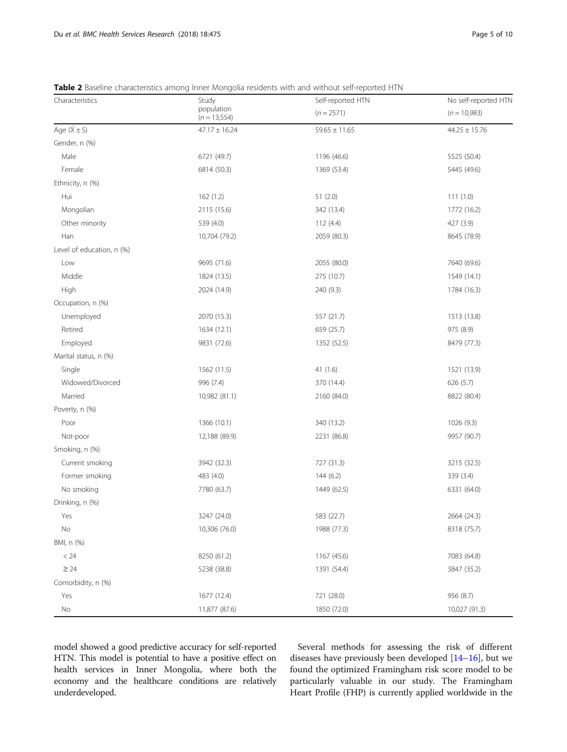<span id="page-4-0"></span>Table 2 Baseline characteristics among Inner Mongolia residents with and without self-reported HTN

| Characteristics           | Study                        | Self-reported HTN | No self-reported HTN<br>$(n = 10,983)$<br>$44.25 \pm 15.76$ |  |
|---------------------------|------------------------------|-------------------|-------------------------------------------------------------|--|
|                           | population<br>$(n = 13,554)$ | $(n = 2571)$      |                                                             |  |
| Age $(\bar{X} \pm S)$     | $47.17 \pm 16.24$            | $59.65 \pm 11.65$ |                                                             |  |
| Gender, n (%)             |                              |                   |                                                             |  |
| Male                      | 6721 (49.7)                  | 1196 (46.6)       | 5525 (50.4)                                                 |  |
| Female                    | 6814 (50.3)                  | 1369 (53.4)       | 5445 (49.6)                                                 |  |
| Ethnicity, n (%)          |                              |                   |                                                             |  |
| Hui                       | 162(1.2)                     | 51 (2.0)          | 111(1.0)                                                    |  |
| Mongolian                 | 2115 (15.6)                  | 342 (13.4)        | 1772 (16.2)                                                 |  |
| Other minority            | 539 (4.0)                    | 112(4.4)          | 427 (3.9)                                                   |  |
| Han                       | 10,704 (79.2)                | 2059 (80.3)       | 8645 (78.9)                                                 |  |
| Level of education, n (%) |                              |                   |                                                             |  |
| Low                       | 9695 (71.6)                  | 2055 (80.0)       | 7640 (69.6)                                                 |  |
| Middle                    | 1824 (13.5)                  | 275 (10.7)        | 1549 (14.1)                                                 |  |
| High                      | 2024 (14.9)                  | 240 (9.3)         | 1784 (16.3)                                                 |  |
| Occupation, n (%)         |                              |                   |                                                             |  |
| Unemployed                | 2070 (15.3)                  | 557 (21.7)        | 1513 (13.8)                                                 |  |
| Retired                   | 1634 (12.1)                  | 659 (25.7)        | 975 (8.9)                                                   |  |
| Employed                  | 9831 (72.6)                  | 1352 (52.5)       | 8479 (77.3)                                                 |  |
| Marital status, n (%)     |                              |                   |                                                             |  |
| Single                    | 1562 (11.5)                  | 41(1.6)           | 1521 (13.9)                                                 |  |
| Widowed/Divorced          | 996 (7.4)                    | 370 (14.4)        | 626 (5.7)                                                   |  |
| Married                   | 10,982 (81.1)                | 2160 (84.0)       | 8822 (80.4)                                                 |  |
| Poverty, n (%)            |                              |                   |                                                             |  |
| Poor                      | 1366 (10.1)                  | 340 (13.2)        | 1026 (9.3)                                                  |  |
| Not-poor                  | 12,188 (89.9)                | 2231 (86.8)       | 9957 (90.7)                                                 |  |
| Smoking, n (%)            |                              |                   |                                                             |  |
| Current smoking           | 3942 (32.3)                  | 727 (31.3)        | 3215 (32.5)                                                 |  |
| Former smoking            | 483 (4.0)                    | 144(6.2)          | 339 (3.4)                                                   |  |
| No smoking                | 7780 (63.7)                  | 1449 (62.5)       | 6331 (64.0)                                                 |  |
| Drinking, n (%)           |                              |                   |                                                             |  |
| Yes                       | 3247 (24.0)                  | 583 (22.7)        | 2664 (24.3)                                                 |  |
| No                        | 10,306 (76.0)                | 1988 (77.3)       | 8318 (75.7)                                                 |  |
| BMI, n (%)                |                              |                   |                                                             |  |
| $< 24\,$                  | 8250 (61.2)                  | 1167 (45.6)       | 7083 (64.8)                                                 |  |
| $\geq 24$                 | 5238 (38.8)                  | 1391 (54.4)       | 3847 (35.2)                                                 |  |
| Comorbidity, n (%)        |                              |                   |                                                             |  |
| Yes                       | 1677 (12.4)                  | 721 (28.0)        | 956 (8.7)                                                   |  |
| No                        | 11,877 (87.6)                | 1850 (72.0)       | 10,027 (91.3)                                               |  |

model showed a good predictive accuracy for self-reported HTN. This model is potential to have a positive effect on health services in Inner Mongolia, where both the economy and the healthcare conditions are relatively underdeveloped.

Several methods for assessing the risk of different diseases have previously been developed [[14](#page-9-0)–[16](#page-9-0)], but we found the optimized Framingham risk score model to be particularly valuable in our study. The Framingham Heart Profile (FHP) is currently applied worldwide in the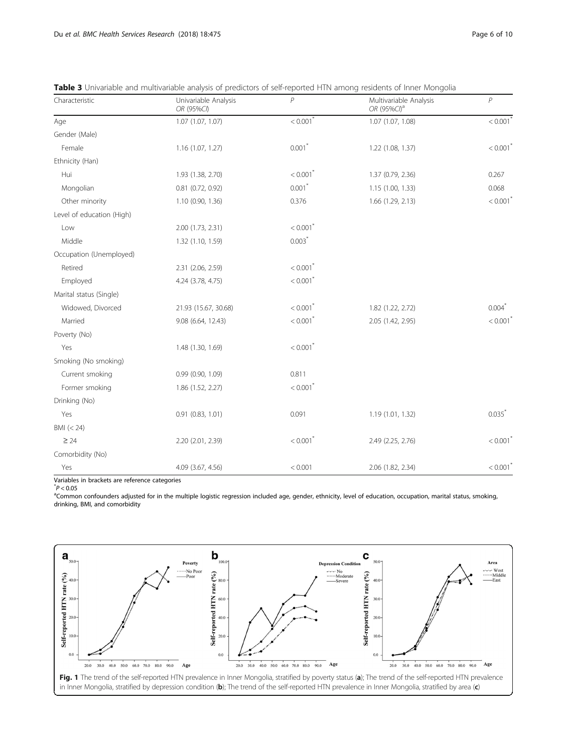| Characteristic            | Univariable Analysis<br>OR (95%CI) | P                      | Multivariable Analysis<br>OR (95%CI) <sup>a</sup> | $\overline{P}$         |
|---------------------------|------------------------------------|------------------------|---------------------------------------------------|------------------------|
| Age                       | 1.07 (1.07, 1.07)                  | $< 0.001$ <sup>*</sup> | 1.07 (1.07, 1.08)                                 | $< 0.001$ <sup>*</sup> |
| Gender (Male)             |                                    |                        |                                                   |                        |
| Female                    | 1.16 (1.07, 1.27)                  | $0.001$ *              | 1.22 (1.08, 1.37)                                 | $< 0.001$ <sup>*</sup> |
| Ethnicity (Han)           |                                    |                        |                                                   |                        |
| Hui                       | 1.93 (1.38, 2.70)                  | $< 0.001$ <sup>*</sup> | 1.37 (0.79, 2.36)                                 | 0.267                  |
| Mongolian                 | 0.81 (0.72, 0.92)                  | $0.001$ <sup>*</sup>   | 1.15 (1.00, 1.33)                                 | 0.068                  |
| Other minority            | 1.10 (0.90, 1.36)                  | 0.376                  | 1.66 (1.29, 2.13)                                 | $< 0.001$ <sup>*</sup> |
| Level of education (High) |                                    |                        |                                                   |                        |
| Low                       | 2.00 (1.73, 2.31)                  | $< 0.001$ <sup>*</sup> |                                                   |                        |
| Middle                    | 1.32 (1.10, 1.59)                  | $0.003*$               |                                                   |                        |
| Occupation (Unemployed)   |                                    |                        |                                                   |                        |
| Retired                   | 2.31 (2.06, 2.59)                  | $< 0.001$ <sup>*</sup> |                                                   |                        |
| Employed                  | 4.24 (3.78, 4.75)                  | $< 0.001$ <sup>*</sup> |                                                   |                        |
| Marital status (Single)   |                                    |                        |                                                   |                        |
| Widowed, Divorced         | 21.93 (15.67, 30.68)               | $< 0.001$ <sup>*</sup> | 1.82 (1.22, 2.72)                                 | $0.004*$               |
| Married                   | 9.08 (6.64, 12.43)                 | $< 0.001$ <sup>*</sup> | 2.05 (1.42, 2.95)                                 | $< 0.001$ <sup>*</sup> |
| Poverty (No)              |                                    |                        |                                                   |                        |
| Yes                       | 1.48 (1.30, 1.69)                  | $< 0.001$ <sup>*</sup> |                                                   |                        |
| Smoking (No smoking)      |                                    |                        |                                                   |                        |
| Current smoking           | 0.99 (0.90, 1.09)                  | 0.811                  |                                                   |                        |
| Former smoking            | 1.86 (1.52, 2.27)                  | $< 0.001$ <sup>*</sup> |                                                   |                        |
| Drinking (No)             |                                    |                        |                                                   |                        |
| Yes                       | $0.91$ $(0.83, 1.01)$              | 0.091                  | 1.19 (1.01, 1.32)                                 | $0.035$ <sup>*</sup>   |
| BMI $(< 24)$              |                                    |                        |                                                   |                        |
| $\geq 24$                 | 2.20 (2.01, 2.39)                  | $< 0.001$ <sup>*</sup> | 2.49 (2.25, 2.76)                                 | $< 0.001$ <sup>*</sup> |
| Comorbidity (No)          |                                    |                        |                                                   |                        |
| Yes                       | 4.09 (3.67, 4.56)                  | < 0.001                | 2.06 (1.82, 2.34)                                 | $< 0.001$ <sup>*</sup> |

<span id="page-5-0"></span>Table 3 Univariable and multivariable analysis of predictors of self-reported HTN among residents of Inner Mongolia

Variables in brackets are reference categories

<sup>a</sup>Common confounders adjusted for in the multiple logistic regression included age, gender, ethnicity, level of education, occupation, marital status, smoking, drinking, BMI, and comorbidity



 $p < 0.05$ <br>aCommo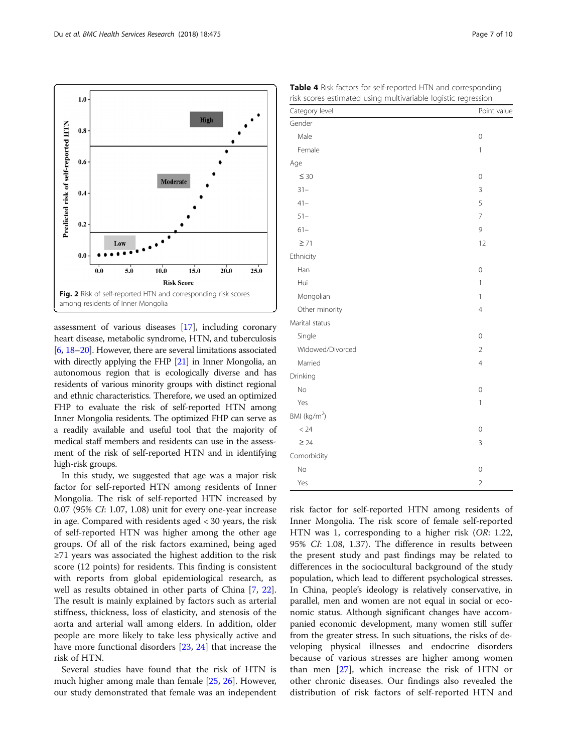High

<span id="page-6-0"></span> $1.0\,$ 

 $0.8$ 

 $0.6$ 

 $0.4$ 

 $0.2$ 

 $0.0$ 

 $0.0$ 

Predicted risk of self-reported HTN

assessment of various diseases [[17](#page-9-0)], including coronary heart disease, metabolic syndrome, HTN, and tuberculosis [[6](#page-9-0), [18](#page-9-0)–[20\]](#page-9-0). However, there are several limitations associated with directly applying the FHP [\[21\]](#page-9-0) in Inner Mongolia, an autonomous region that is ecologically diverse and has residents of various minority groups with distinct regional and ethnic characteristics. Therefore, we used an optimized FHP to evaluate the risk of self-reported HTN among Inner Mongolia residents. The optimized FHP can serve as a readily available and useful tool that the majority of medical staff members and residents can use in the assessment of the risk of self-reported HTN and in identifying high-risk groups.

Fig. 2 Risk of self-reported HTN and corresponding risk scores

 $10.0$ 

 $15.0$ 

**Risk Score** 

 $20.0$ 

 $25.0$ 

Moderate

among residents of Inner Mongolia

Low

5.0

In this study, we suggested that age was a major risk factor for self-reported HTN among residents of Inner Mongolia. The risk of self-reported HTN increased by 0.07 (95% CI: 1.07, 1.08) unit for every one-year increase in age. Compared with residents aged < 30 years, the risk of self-reported HTN was higher among the other age groups. Of all of the risk factors examined, being aged ≥71 years was associated the highest addition to the risk score (12 points) for residents. This finding is consistent with reports from global epidemiological research, as well as results obtained in other parts of China [\[7](#page-9-0), [22](#page-9-0)]. The result is mainly explained by factors such as arterial stiffness, thickness, loss of elasticity, and stenosis of the aorta and arterial wall among elders. In addition, older people are more likely to take less physically active and have more functional disorders [[23,](#page-9-0) [24\]](#page-9-0) that increase the risk of HTN.

Several studies have found that the risk of HTN is much higher among male than female [\[25](#page-9-0), [26](#page-9-0)]. However, our study demonstrated that female was an independent

Table 4 Risk factors for self-reported HTN and corresponding risk scores estimated using multivariable logistic regression

| Category level           | Point value    |
|--------------------------|----------------|
| Gender                   |                |
| Male                     | $\mathbf 0$    |
| Female                   | $\mathbf{1}$   |
| Age                      |                |
| $\leq 30$                | $\overline{0}$ |
| $31 -$                   | 3              |
| $41 -$                   | 5              |
| $51 -$                   | $\overline{7}$ |
| $61 -$                   | 9              |
| $\geq 71$                | 12             |
| Ethnicity                |                |
| Han                      | $\mathbf 0$    |
| Hui                      | $\mathbf{1}$   |
| Mongolian                | 1              |
| Other minority           | $\overline{4}$ |
| Marital status           |                |
| Single                   | $\mathbf 0$    |
| Widowed/Divorced         | $\overline{2}$ |
| Married                  | $\overline{4}$ |
| Drinking                 |                |
| <b>No</b>                | 0              |
| Yes                      | $\mathbf{1}$   |
| BMI (kg/m <sup>2</sup> ) |                |
| < 24                     | $\mathbf 0$    |
| $\geq$ 24                | 3              |
| Comorbidity              |                |
| <b>No</b>                | $\mathbf 0$    |
| Yes                      | $\overline{2}$ |

risk factor for self-reported HTN among residents of Inner Mongolia. The risk score of female self-reported HTN was 1, corresponding to a higher risk (OR: 1.22, 95% CI: 1.08, 1.37). The difference in results between the present study and past findings may be related to differences in the sociocultural background of the study population, which lead to different psychological stresses. In China, people's ideology is relatively conservative, in parallel, men and women are not equal in social or economic status. Although significant changes have accompanied economic development, many women still suffer from the greater stress. In such situations, the risks of developing physical illnesses and endocrine disorders because of various stresses are higher among women than men [\[27](#page-9-0)], which increase the risk of HTN or other chronic diseases. Our findings also revealed the distribution of risk factors of self-reported HTN and

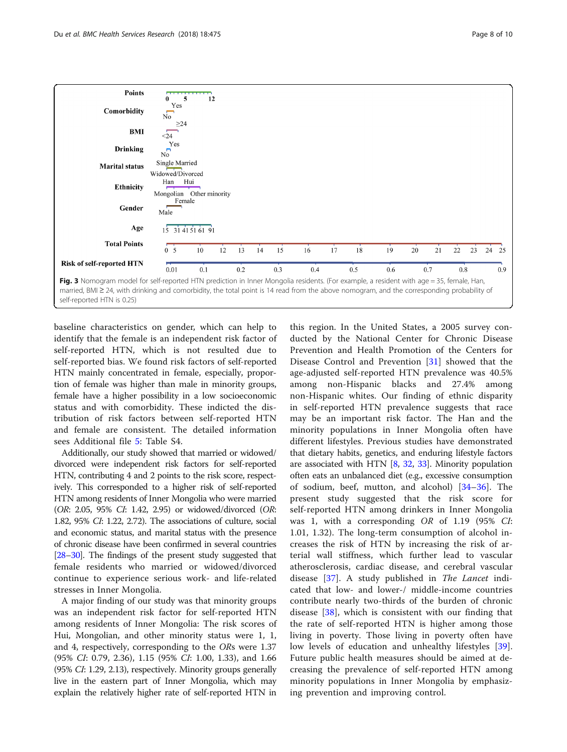<span id="page-7-0"></span>

baseline characteristics on gender, which can help to identify that the female is an independent risk factor of self-reported HTN, which is not resulted due to self-reported bias. We found risk factors of self-reported HTN mainly concentrated in female, especially, proportion of female was higher than male in minority groups, female have a higher possibility in a low socioeconomic status and with comorbidity. These indicted the distribution of risk factors between self-reported HTN and female are consistent. The detailed information sees Additional file [5:](#page-8-0) Table S4.

Additionally, our study showed that married or widowed/ divorced were independent risk factors for self-reported HTN, contributing 4 and 2 points to the risk score, respectively. This corresponded to a higher risk of self-reported HTN among residents of Inner Mongolia who were married (OR: 2.05, 95% CI: 1.42, 2.95) or widowed/divorced (OR: 1.82, 95% CI: 1.22, 2.72). The associations of culture, social and economic status, and marital status with the presence of chronic disease have been confirmed in several countries [[28](#page-9-0)–[30](#page-9-0)]. The findings of the present study suggested that female residents who married or widowed/divorced continue to experience serious work- and life-related stresses in Inner Mongolia.

A major finding of our study was that minority groups was an independent risk factor for self-reported HTN among residents of Inner Mongolia: The risk scores of Hui, Mongolian, and other minority status were 1, 1, and 4, respectively, corresponding to the ORs were 1.37 (95% CI: 0.79, 2.36), 1.15 (95% CI: 1.00, 1.33), and 1.66 (95% CI: 1.29, 2.13), respectively. Minority groups generally live in the eastern part of Inner Mongolia, which may explain the relatively higher rate of self-reported HTN in

this region. In the United States, a 2005 survey conducted by the National Center for Chronic Disease Prevention and Health Promotion of the Centers for Disease Control and Prevention [[31\]](#page-9-0) showed that the age-adjusted self-reported HTN prevalence was 40.5% among non-Hispanic blacks and 27.4% among non-Hispanic whites. Our finding of ethnic disparity in self-reported HTN prevalence suggests that race may be an important risk factor. The Han and the minority populations in Inner Mongolia often have different lifestyles. Previous studies have demonstrated that dietary habits, genetics, and enduring lifestyle factors are associated with HTN [\[8,](#page-9-0) [32](#page-9-0), [33](#page-9-0)]. Minority population often eats an unbalanced diet (e.g., excessive consumption of sodium, beef, mutton, and alcohol) [[34](#page-9-0)–[36\]](#page-9-0). The present study suggested that the risk score for self-reported HTN among drinkers in Inner Mongolia was 1, with a corresponding OR of 1.19 (95% CI: 1.01, 1.32). The long-term consumption of alcohol increases the risk of HTN by increasing the risk of arterial wall stiffness, which further lead to vascular atherosclerosis, cardiac disease, and cerebral vascular disease [[37\]](#page-9-0). A study published in The Lancet indicated that low- and lower-/ middle-income countries contribute nearly two-thirds of the burden of chronic disease [[38](#page-9-0)], which is consistent with our finding that the rate of self-reported HTN is higher among those living in poverty. Those living in poverty often have low levels of education and unhealthy lifestyles [\[39](#page-9-0)]. Future public health measures should be aimed at decreasing the prevalence of self-reported HTN among minority populations in Inner Mongolia by emphasizing prevention and improving control.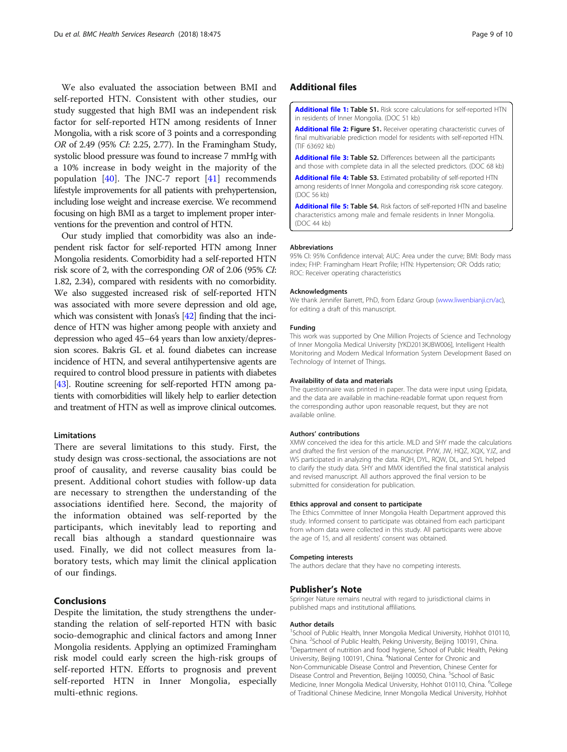<span id="page-8-0"></span>We also evaluated the association between BMI and self-reported HTN. Consistent with other studies, our study suggested that high BMI was an independent risk factor for self-reported HTN among residents of Inner Mongolia, with a risk score of 3 points and a corresponding OR of 2.49 (95% CI: 2.25, 2.77). In the Framingham Study, systolic blood pressure was found to increase 7 mmHg with a 10% increase in body weight in the majority of the population [\[40](#page-9-0)]. The JNC-7 report [\[41](#page-9-0)] recommends lifestyle improvements for all patients with prehypertension, including lose weight and increase exercise. We recommend focusing on high BMI as a target to implement proper interventions for the prevention and control of HTN.

Our study implied that comorbidity was also an independent risk factor for self-reported HTN among Inner Mongolia residents. Comorbidity had a self-reported HTN risk score of 2, with the corresponding OR of 2.06 (95% CI: 1.82, 2.34), compared with residents with no comorbidity. We also suggested increased risk of self-reported HTN was associated with more severe depression and old age, which was consistent with Jonas's [\[42\]](#page-9-0) finding that the incidence of HTN was higher among people with anxiety and depression who aged 45–64 years than low anxiety/depression scores. Bakris GL et al. found diabetes can increase incidence of HTN, and several antihypertensive agents are required to control blood pressure in patients with diabetes [[43](#page-9-0)]. Routine screening for self-reported HTN among patients with comorbidities will likely help to earlier detection and treatment of HTN as well as improve clinical outcomes.

#### **Limitations**

There are several limitations to this study. First, the study design was cross-sectional, the associations are not proof of causality, and reverse causality bias could be present. Additional cohort studies with follow-up data are necessary to strengthen the understanding of the associations identified here. Second, the majority of the information obtained was self-reported by the participants, which inevitably lead to reporting and recall bias although a standard questionnaire was used. Finally, we did not collect measures from laboratory tests, which may limit the clinical application of our findings.

## Conclusions

Despite the limitation, the study strengthens the understanding the relation of self-reported HTN with basic socio-demographic and clinical factors and among Inner Mongolia residents. Applying an optimized Framingham risk model could early screen the high-risk groups of self-reported HTN. Efforts to prognosis and prevent self-reported HTN in Inner Mongolia, especially multi-ethnic regions.

## Additional files

[Additional file 1:](https://doi.org/10.1186/s12913-018-3279-3) Table S1. Risk score calculations for self-reported HTN in residents of Inner Mongolia. (DOC 51 kb)

[Additional file 2:](https://doi.org/10.1186/s12913-018-3279-3) Figure S1. Receiver operating characteristic curves of final multivariable prediction model for residents with self-reported HTN. (TIF 63692 kb)

[Additional file 3:](https://doi.org/10.1186/s12913-018-3279-3) Table S2. Differences between all the participants and those with complete data in all the selected predictors. (DOC 68 kb)

[Additional file 4:](https://doi.org/10.1186/s12913-018-3279-3) Table S3. Estimated probability of self-reported HTN among residents of Inner Mongolia and corresponding risk score category. (DOC 56 kb)

[Additional file 5:](https://doi.org/10.1186/s12913-018-3279-3) Table S4. Risk factors of self-reported HTN and baseline characteristics among male and female residents in Inner Mongolia. (DOC 44 kb)

#### **Abbreviations**

95% CI: 95% Confidence interval; AUC: Area under the curve; BMI: Body mass index; FHP: Framingham Heart Profile; HTN: Hypertension; OR: Odds ratio; ROC: Receiver operating characteristics

#### Acknowledgments

We thank Jennifer Barrett, PhD, from Edanz Group [\(www.liwenbianji.cn/ac\)](http://www.liwenbianji.cn/ac), for editing a draft of this manuscript.

#### Funding

This work was supported by One Million Projects of Science and Technology of Inner Mongolia Medical University [YKD2013KJBW006], Intelligent Health Monitoring and Modern Medical Information System Development Based on Technology of Internet of Things.

#### Availability of data and materials

The questionnaire was printed in paper. The data were input using Epidata, and the data are available in machine-readable format upon request from the corresponding author upon reasonable request, but they are not available online.

#### Authors' contributions

XMW conceived the idea for this article. MLD and SHY made the calculations and drafted the first version of the manuscript. PYW, JW, HQZ, XQX, YJZ, and WS participated in analyzing the data. RQH, DYL, RQW, DL, and SYL helped to clarify the study data. SHY and MMX identified the final statistical analysis and revised manuscript. All authors approved the final version to be submitted for consideration for publication.

#### Ethics approval and consent to participate

The Ethics Committee of Inner Mongolia Health Department approved this study. Informed consent to participate was obtained from each participant from whom data were collected in this study. All participants were above the age of 15, and all residents' consent was obtained.

#### Competing interests

The authors declare that they have no competing interests.

## Publisher's Note

Springer Nature remains neutral with regard to jurisdictional claims in published maps and institutional affiliations.

#### Author details

<sup>1</sup>School of Public Health, Inner Mongolia Medical University, Hohhot 010110 China. <sup>2</sup> School of Public Health, Peking University, Beijing 100191, China. <sup>3</sup> Department of putrition and food byginne. School of Public Hoalth, Pol Department of nutrition and food hygiene, School of Public Health, Peking University, Beijing 100191, China. <sup>4</sup>National Center for Chronic and Non-Communicable Disease Control and Prevention, Chinese Center for Disease Control and Prevention, Beijing 100050, China. <sup>5</sup>School of Basic Medicine, Inner Mongolia Medical University, Hohhot 010110, China. <sup>6</sup>College of Traditional Chinese Medicine, Inner Mongolia Medical University, Hohhot